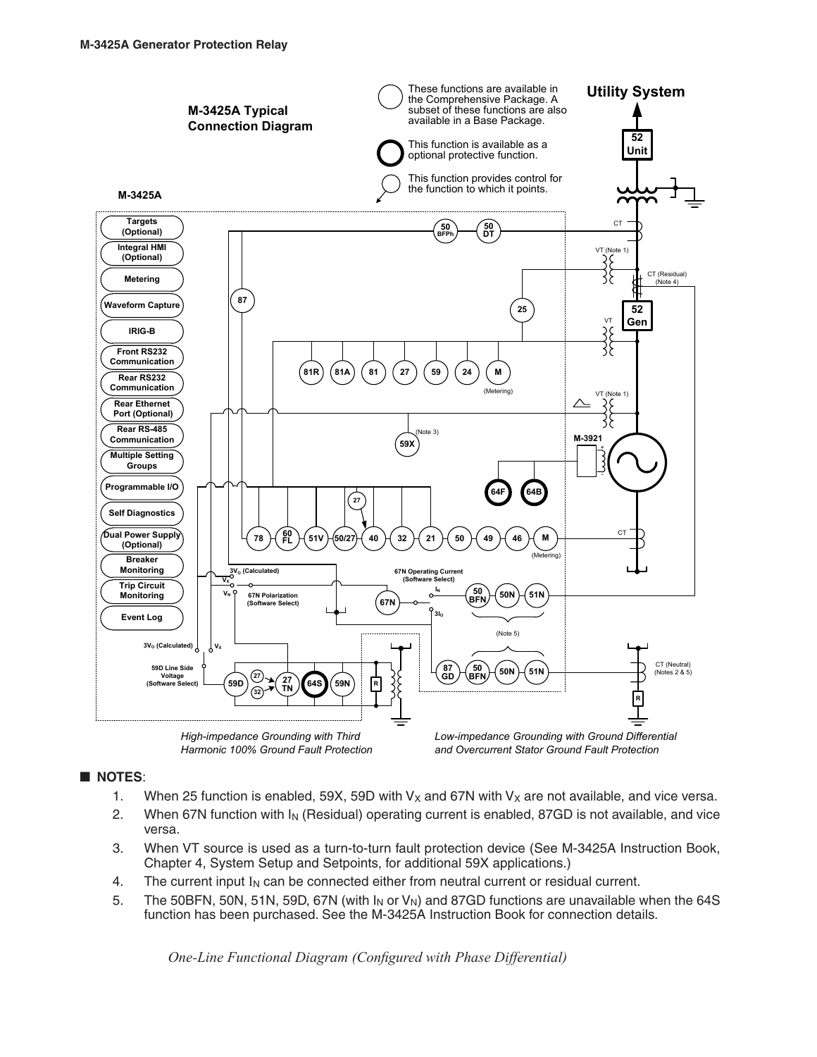

*Harmonic 100% Ground Fault Protection*

*and Overcurrent Stator Ground Fault Protection*

## **NOTES**:

- 1. When 25 function is enabled, 59X, 59D with  $V_x$  and 67N with  $V_x$  are not available, and vice versa.
- 2. When 67N function with  $I_N$  (Residual) operating current is enabled, 87GD is not available, and vice versa.
- 3. When VT source is used as a turn-to-turn fault protection device (See M-3425A Instruction Book, Chapter 4, System Setup and Setpoints, for additional 59X applications.)
- 4. The current input  $I_N$  can be connected either from neutral current or residual current.
- 5. The 50BFN, 50N, 51N, 59D, 67N (with  $I_N$  or  $V_N$ ) and 87GD functions are unavailable when the 64S function has been purchased. See the M-3425A Instruction Book for connection details.

*One‑Line Functional Diagram (Configured with Phase Differential)*